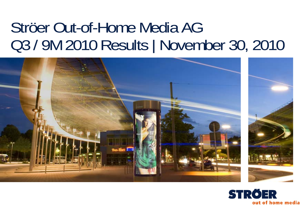# Ströer Out-of-Home Media AG Q3 / 9M 2010 Results | November 30, 2010



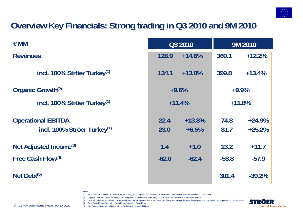

## **Overview Key Financials: Strong trading in Q3 2010 and 9M 2010**

| $\epsilon$ MM                                                        | Q3 2010      |                     | 9M 2010      |                      |
|----------------------------------------------------------------------|--------------|---------------------|--------------|----------------------|
| <b>Revenues</b>                                                      | 126.9        | $+14.6%$            | 369.1        | $+12.2%$             |
| incl. 100% Ströer Turkey <sup>(1)</sup>                              | 134.1        | $+13.0%$            | 399.8        | $+13.4%$             |
| Organic Growth <sup>(2)</sup>                                        | $+9.6%$      |                     | $+9.9%$      |                      |
| incl. 100% Ströer Turkey <sup>(1)</sup>                              | $+11.4%$     |                     | $+11.8%$     |                      |
| <b>Operational EBITDA</b><br>incl. 100% Ströer Turkey <sup>(1)</sup> | 22.4<br>23.0 | $+13.8%$<br>$+6.5%$ | 74.8<br>81.7 | $+24.9%$<br>$+25.2%$ |
| Net Adjusted Income <sup>(3)</sup>                                   | 1.4          | $+1.0$              | 13.2         | $+11.7$              |
| Free Cash Flow(4)                                                    | $-62.0$      | $-62.4$             | $-58.8$      | $-57.9$              |
| Net Debt <sup>(5)</sup>                                              |              |                     | 301.4        | $-39.2%$             |

- **Notes**
- (1) Ströer Shows full consolidation of Ströer Turkey assuming Ströer Turkey's stake had been increased from 50% to 90% at 1 Jan 2009.
- (2) Organic Growth = excludes foreign exchange effects and effects from (de-) consolidation and discontinuation of businesses
- (3) Operational EBIT net of financial result adjusted for exceptional items, amortization of acquired intangible advertising rights and normalised tax expense (31.7% tax rate)

(4) Free Cash Flow = Operating Cash Flow – Investing Cash Flow (5) Net Debt = Financial Liabilities minus Cash (excl. hedge liabilities)

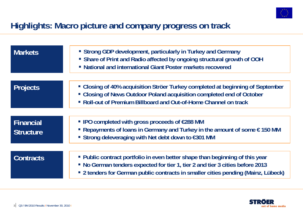

### **Highlights: Macro picture and company progress on track**

| <b>Markets</b>                       | • Strong GDP development, particularly in Turkey and Germany<br>• Share of Print and Radio affected by ongoing structural growth of OOH<br>• National and international Giant Poster markets recovered                                             |
|--------------------------------------|----------------------------------------------------------------------------------------------------------------------------------------------------------------------------------------------------------------------------------------------------|
| <b>Projects</b>                      | • Closing of 40% acquisition Ströer Turkey completed at beginning of September<br>• Closing of News Outdoor Poland acquisition completed end of October<br>• Roll-out of Premium Billboard and Out-of-Home Channel on track                        |
| <b>Financial</b><br><b>Structure</b> | ■ IPO completed with gross proceeds of €288 MM<br>Repayments of loans in Germany and Turkey in the amount of some $\epsilon$ 150 MM<br>■ Strong deleveraging with Net debt down to €301 MM                                                         |
| <b>Contracts</b>                     | • Public contract portfolio in even better shape than beginning of this year<br>• No German tenders expected for tier 1, tier 2 and tier 3 cities before 2013<br>• 2 tenders for German public contracts in smaller cities pending (Mainz, Lübeck) |

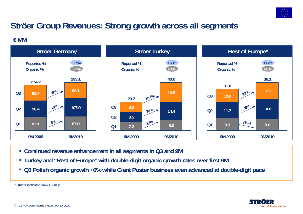

## **Ströer Group Revenues: Strong growth across all segments**

**€ MM**



- **Continued revenue enhancement in all segments in Q3 and 9M**
- **Turkey and "Rest of Europe" with double-digit organic growth rates over first 9M**
- **Q3 Polish organic growth +6% while Giant Poster business even advanced at double-digit pace**

\* Ströer Poland and blowUP Group

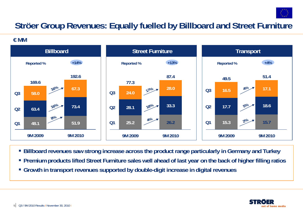

## **Ströer Group Revenues: Equally fuelled by Billboard and Street Furniture**

**€ MM**



- **Billboard revenues saw strong increase across the product range particularly in Germany and Turkey**
- **Premium products lifted Street Furniture sales well ahead of last year on the back of higher filling ratios**
- **Growth in transport revenues supported by double-digit increase in digital revenues**

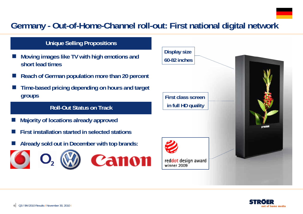## **Germany - Out-of-Home-Channel roll-out: First national digital network**

### **Unique Selling Propositions**

- F. **Moving images like TV with high emotions and short lead times**
- r. **Reach of German population more than 20 percent**
- F. **Time-based pricing depending on hours and target groups**

### **Roll-Out Status on Track**

- $\overline{\phantom{a}}$ **Majority of locations already approved**
- $\overline{\phantom{a}}$ **First installation started in selected stations**
- $\overline{\phantom{a}}$ **Already sold out in December with top brands:**





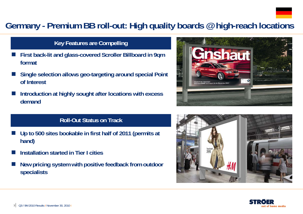

### **Germany - Premium BB roll-out: High quality boards @ high-reach locations**

### **Key Features are Compelling**

- F. **First back-lit and glass-covered Scroller Billboard in 9qm format**
- F. **Single selection allows geo-targeting around special Point of Interest**
- F. **Introduction at highly sought after locations with excess demand**

### **Roll-Out Status on Track**

- $\overline{\phantom{a}}$  **Up to 500 sites bookable in first half of 2011 (permits at hand)**
- F **Installation started in Tier I cities**
- $\overline{\phantom{a}}$  **New pricing system with positive feedback from outdoor specialists**





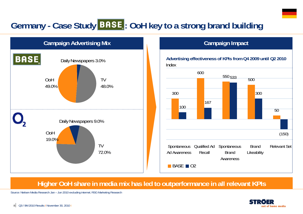## Germany - Case Study **BASE**: OoH key to a strong brand building



### **Campaign Impact**



### **Higher OoH share in media mix has led to outperformance in all relevant KPIs**

Source: Nielsen Media Research Jan – Jun 2010 excluding internet; RSG Marketing Research

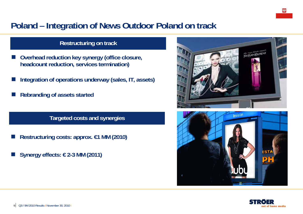## **Poland – Integration of News Outdoor Poland on track**

### **Restructuring on track**

- F **Overhead reduction key synergy (office closure, headcount reduction, services termination)**
- **Integration of operations underway (sales, IT, assets)**
- **Rebranding of assets started**

**Targeted costs and synergies**

- Π **Restructuring costs: approx. €1 MM (2010)**
- Π **Synergy effects: € 2-3 MM (2011)**





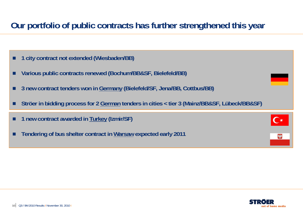## **Our portfolio of public contracts has further strengthened this year**

- п **1 city contract not extended (Wiesbaden/BB)**
- П **Various public contracts renewed (Bochum/BB&SF, Bielefeld/BB)**
- п **3 new contract tenders won in Germany (Bielefeld/SF, Jena/BB, Cottbus/BB)**
- П **Ströer in bidding process for 2 German tenders in cities < tier 3 (Mainz/BB&SF, Lübeck/BB&SF)**

|  | 1 new contract awarded in Turkey (Izmir/SF) |  |  |  |
|--|---------------------------------------------|--|--|--|
|--|---------------------------------------------|--|--|--|

п **Tendering of bus shelter contract in Warsaw expected early 2011** 

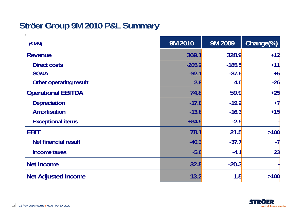## **Ströer Group 9M 2010 P&L Summary**

| (EMM)                       | 9M 2010  | 9M 2009  | Change(%) |
|-----------------------------|----------|----------|-----------|
| <b>Revenue</b>              | 369.1    | 328.9    | $+12$     |
| <b>Direct costs</b>         | $-205.2$ | $-185.5$ | $+11$     |
| SG&A                        | $-92.1$  | $-87.5$  | $+5$      |
| Other operating result      | 2.9      | 4.0      | $-26$     |
| <b>Operational EBITDA</b>   | 74.8     | 59.9     | $+25$     |
| <b>Depreciation</b>         | $-17.8$  | $-19.2$  | $+7$      |
| <b>Amortisation</b>         | $-13.8$  | $-16.3$  | $+15$     |
| <b>Exceptional items</b>    | $+34.9$  | $-2.9$   |           |
| <b>EBIT</b>                 | 78.1     | 21.5     | $>100$    |
| <b>Net financial result</b> | $-40.3$  | $-37.7$  | $-7$      |
| <b>Income taxes</b>         | $-5.0$   | $-4.1$   | 23        |
| <b>Net Income</b>           | 32.8     | $-20.3$  |           |
| <b>Net Adjusted Income</b>  | 13.2     | 1.5      | $>100$    |

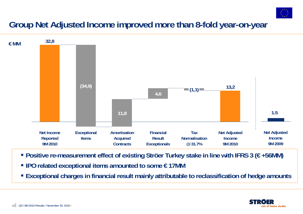

## **Group Net Adjusted Income improved more than 8-fold year-on-year**



- **Positive re-measurement effect of existing Ströer Turkey stake in line with IFRS 3 (€ +56MM)**
- **IPO related exceptional items amounted to some € 17MM**
- **Exceptional charges in financial result mainly attributable to reclassification of hedge amounts**

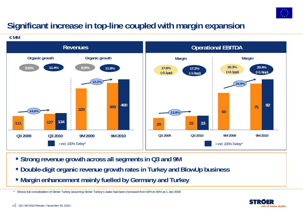

## **Significant increase in top-line coupled with margin expansion**

**€ MM**



- **Strong revenue growth across all segments in Q3 and 9M**
- **Double-digit organic revenue growth rates in Turkey and BlowUp business**
- **Margin enhancement mainly fuelled by Germany and Turkey**

\* Shows full consolidation of Ströer Turkey assuming Ströer Turkey's stake had been increased from 50% to 90% at 1 Jan 2009

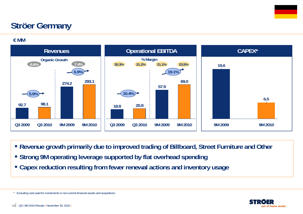## **Ströer Germany**

**€ MM**



- **Revenue growth primarily due to improved trading of Billboard, Street Furniture and Other**
- **Strong 9M operating leverage supported by flat overhead spending**
- **Capex reduction resulting from fewer renewal actions and inventory usage**



<sup>\*</sup> Excluding cash paid for investments in non-current financial assets and acquisitions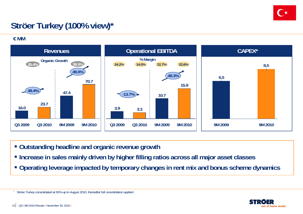

## **Ströer Turkey (100% view)\***

**€ MM**



- **Outstanding headline and organic revenue growth**
- **Increase in sales mainly driven by higher filling ratios across all major asset classes**
- **Operating leverage impacted by temporary changes in rent mix and bonus scheme dynamics**



\*

Ströer Turkey consolidated at 50% up to August 2010, thereafter full consolidation applied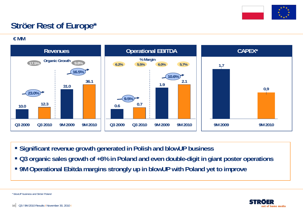

## **Ströer Rest of Europe\***

**€ MM**



- **Significant revenue growth generated in Polish and blowUP business**
- **Q3 organic sales growth of +6% in Poland and even double-digit in giant poster operations**
- **9M Operational Ebitda margins strongly up in blowUP with Poland yet to improve**

out of home media

\* blowUP business and Ströer Poland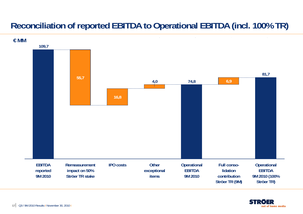## **Reconciliation of reported EBITDA to Operational EBITDA (incl. 100% TR)**



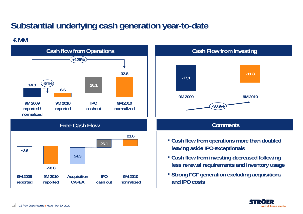## **Substantial underlying cash generation year-to-date**

### **€ MM**



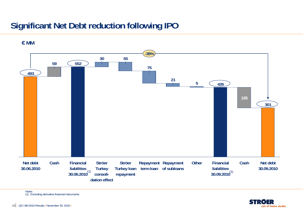## **Significant Net Debt reduction following IPO**



**€ MM**

Notes (1) Excluding derivative financial instruments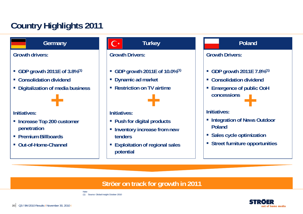## **Country Highlights 2011**

**Germany**

**Growth drivers:**

- **GDP growth 2011E of 3.8%(1)**
- **Consolidation dividend**
- $\mathcal{L}_{\mathcal{A}}$ **Digitalization of media business**



### **Initiatives:**

- **Increase Top 200 customer penetration**
- **Premium Billboards**
- **Out-of-Home-Channel**

### **Turkey**

### **Growth Drivers:**

- **GDP growth 2011E of 10.0%(1)**
- **Dynamic ad market**
- **Restriction on TV airtime**



### **Initiatives:**

- **Push for digital products**
- **Example 1 Inventory increase from new tenders**
- **Exploitation of regional sales potential**

### **Poland**

### **Growth Drivers:**

- **GDP growth 2011E 7.8%(1)**
- **Consolidation dividend**
- **Emergence of public OoH concessions+**

### **Initiatives:**

- **Example 2 Integration of News Outdoor Poland**
- **Sales cycle optimization**
- **Street furniture opportunities**

### **Ströer on track for growth in 2011**



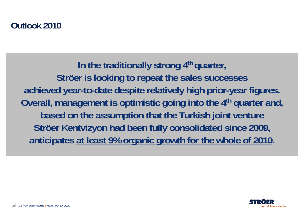In the traditionally strong 4<sup>th</sup> quarter, **Ströer is looking to repeat the sales successes achieved year-to-date despite relatively high prior-year figures. Overall, management is optimistic going into the 4th quarter and, based on the assumption that the Turkish joint venture Ströer Kentvizyon had been fully consolidated since 2009, anticipates at least 9% organic growth for the whole of 2010.**

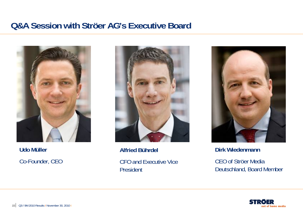### **Q&A Session with Ströer AG's Executive Board**



**Udo Müller** Co-Founder, CEO



**Alfried Bührdel** CFO and Executive Vice President



**Dirk Wiedenmann**

CEO of Ströer Media Deutschland, Board Member